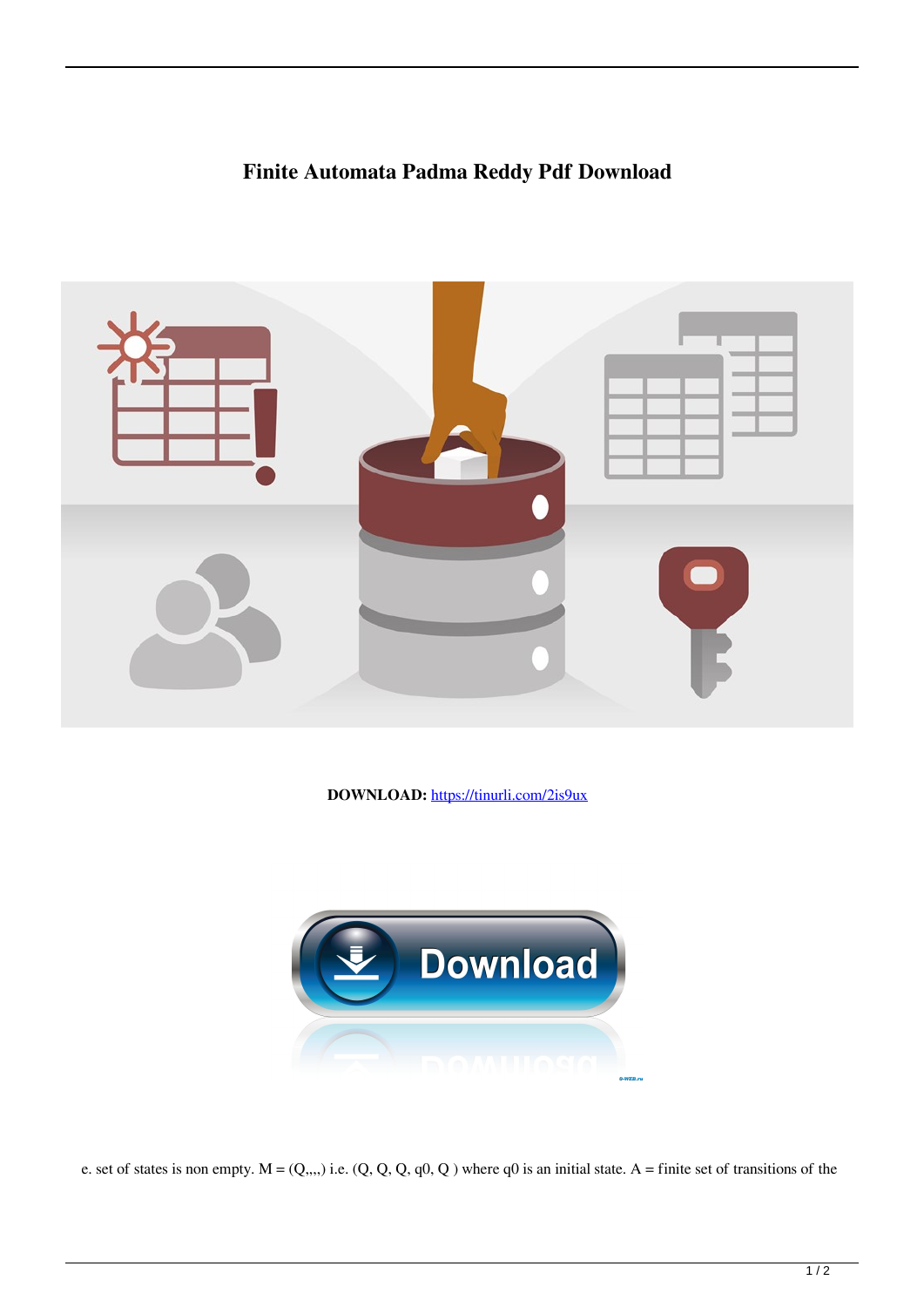## **Finite Automata Padma Reddy Pdf Download**



**DOWNLOAD:** <https://tinurli.com/2is9ux>



e. set of states is non empty.  $M = (Q_{,1})$  i.e.  $(Q, Q, Q, q_0, Q)$  where  $q_0$  is an initial state. A = finite set of transitions of the